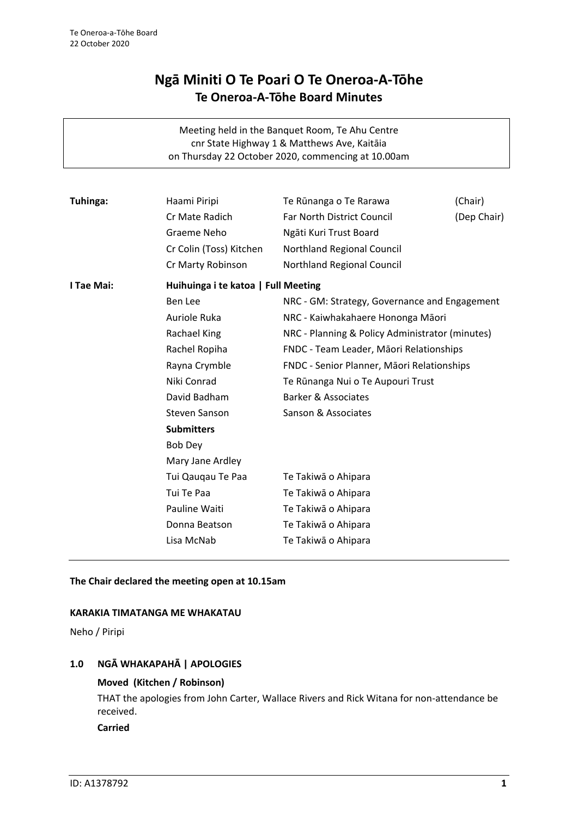# **Ngā Miniti O Te Poari O Te Oneroa-A-Tōhe Te Oneroa-A-Tōhe Board Minutes**

Meeting held in the Banquet Room, Te Ahu Centre cnr State Highway 1 & Matthews Ave, Kaitāia on Thursday 22 October 2020, commencing at 10.00am

| Tuhinga:   | Haami Piripi                        | Te Rūnanga o Te Rarawa                          | (Chair)     |
|------------|-------------------------------------|-------------------------------------------------|-------------|
|            | Cr Mate Radich                      | Far North District Council                      | (Dep Chair) |
|            | Graeme Neho                         | Ngāti Kuri Trust Board                          |             |
|            |                                     |                                                 |             |
|            | Cr Colin (Toss) Kitchen             | Northland Regional Council                      |             |
|            | Cr Marty Robinson                   | Northland Regional Council                      |             |
| I Tae Mai: | Huihuinga i te katoa   Full Meeting |                                                 |             |
|            | Ben Lee                             | NRC - GM: Strategy, Governance and Engagement   |             |
|            | Auriole Ruka                        | NRC - Kaiwhakahaere Hononga Māori               |             |
|            | Rachael King                        | NRC - Planning & Policy Administrator (minutes) |             |
|            | Rachel Ropiha                       | FNDC - Team Leader, Māori Relationships         |             |
|            | Rayna Crymble                       | FNDC - Senior Planner, Māori Relationships      |             |
|            | Niki Conrad                         | Te Rūnanga Nui o Te Aupouri Trust               |             |
|            | David Badham                        | <b>Barker &amp; Associates</b>                  |             |
|            | Steven Sanson                       | Sanson & Associates                             |             |
|            | <b>Submitters</b>                   |                                                 |             |
|            | <b>Bob Dey</b>                      |                                                 |             |
|            | Mary Jane Ardley                    |                                                 |             |
|            | Tui Qauqau Te Paa                   | Te Takiwā o Ahipara                             |             |
|            | Tui Te Paa                          | Te Takiwā o Ahipara                             |             |
|            | Pauline Waiti                       | Te Takiwā o Ahipara                             |             |
|            | Donna Beatson                       | Te Takiwā o Ahipara                             |             |
|            | Lisa McNab                          |                                                 |             |
|            |                                     | Te Takiwā o Ahipara                             |             |

#### **The Chair declared the meeting open at 10.15am**

#### **KARAKIA TIMATANGA ME WHAKATAU**

Neho / Piripi

### **1.0 NGĀ WHAKAPAHĀ | APOLOGIES**

#### **Moved (Kitchen / Robinson)**

THAT the apologies from John Carter, Wallace Rivers and Rick Witana for non-attendance be received.

**Carried**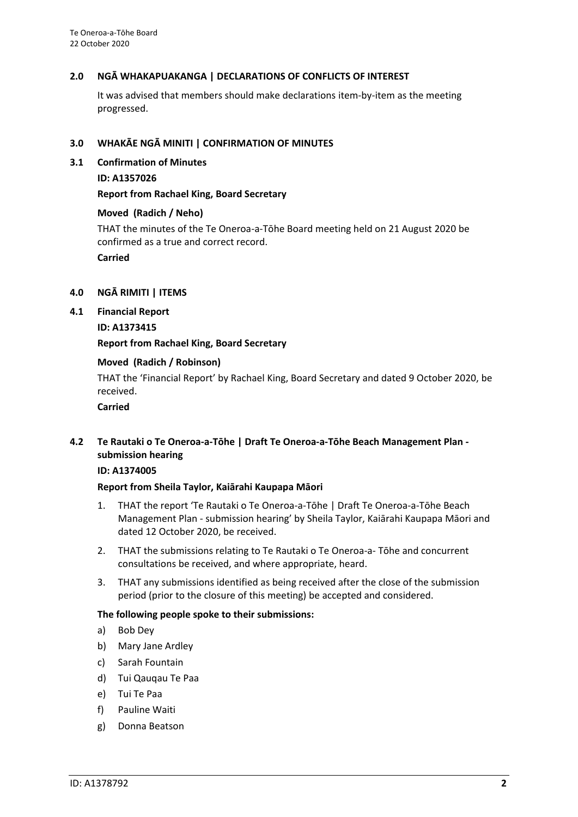#### **2.0 NGĀ WHAKAPUAKANGA | DECLARATIONS OF CONFLICTS OF INTEREST**

It was advised that members should make declarations item-by-item as the meeting progressed.

#### **3.0 WHAKĀE NGĀ MINITI | CONFIRMATION OF MINUTES**

- **3.1 Confirmation of Minutes**
	- **ID: A1357026**

#### **Report from Rachael King, Board Secretary**

#### **Moved (Radich / Neho)**

THAT the minutes of the Te Oneroa-a-Tōhe Board meeting held on 21 August 2020 be confirmed as a true and correct record.

**Carried**

#### **4.0 NGĀ RIMITI | ITEMS**

**4.1 Financial Report**

**ID: A1373415**

#### **Report from Rachael King, Board Secretary**

#### **Moved (Radich / Robinson)**

THAT the 'Financial Report' by Rachael King, Board Secretary and dated 9 October 2020, be received.

**Carried**

## **4.2 Te Rautaki o Te Oneroa-a-Tōhe | Draft Te Oneroa-a-Tōhe Beach Management Plan submission hearing**

#### **ID: A1374005**

#### **Report from Sheila Taylor, Kaiārahi Kaupapa Māori**

- 1. THAT the report 'Te Rautaki o Te Oneroa-a-Tōhe | Draft Te Oneroa-a-Tōhe Beach Management Plan - submission hearing' by Sheila Taylor, Kaiārahi Kaupapa Māori and dated 12 October 2020, be received.
- 2. THAT the submissions relating to Te Rautaki o Te Oneroa-a- Tōhe and concurrent consultations be received, and where appropriate, heard.
- 3. THAT any submissions identified as being received after the close of the submission period (prior to the closure of this meeting) be accepted and considered.

#### **The following people spoke to their submissions:**

- a) Bob Dey
- b) Mary Jane Ardley
- c) Sarah Fountain
- d) Tui Qauqau Te Paa
- e) Tui Te Paa
- f) Pauline Waiti
- g) Donna Beatson